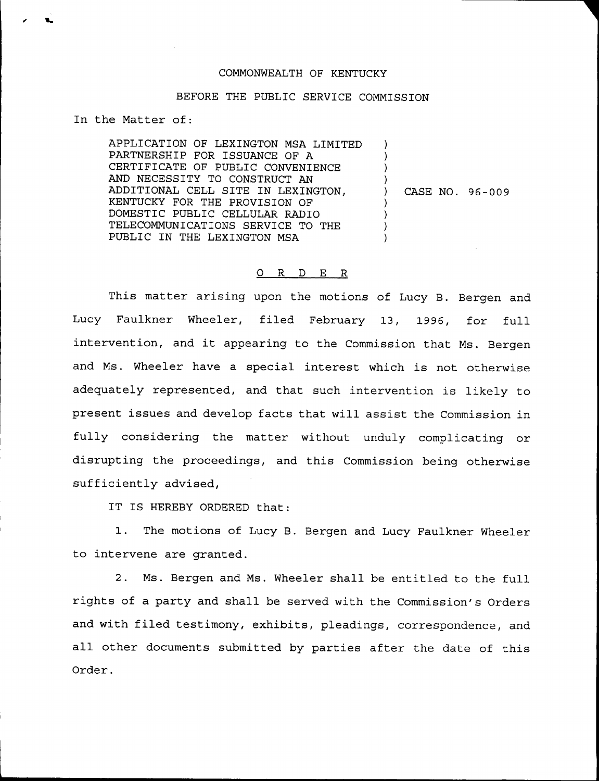## COMMONWEALTH OF KENTUCKY

## BEFORE THE PUBLIC SERVICE COMMISSION

In the Matter of:

APPLICATION OF LEXINGTON MSA LIMITED PARTNERSHIP FOR ISSUANCE OF A CERTIFICATE OF PUBLIC CONVENIENCE AND NECESSITY TO CONSTRUCT AN ADDITIONAL CELL SITE IN LEXINGTON, KENTUCKY FOR THE PROVISION OF DOMESTIC PUBLIC CELLULAR RADIO TELECOMMUNICATIONS SERVICE TO THE PUBLIC IN THE LEXINGTON MSA ) ) )  $\left\{ \begin{array}{c} 1 \end{array} \right\}$ ) CASE NO. 96-009 ) ) ) )

## 0 R <sup>D</sup> E R

This matter arising upon the motions of Lucy B. Bergen and Lucy Faulkner Wheeler, filed February 13, 1996, for full intervention, and it appearing to the Commission that Ms. Bergen and Ms. Wheeler have a special interest which is not otherwise adequately represented, and that such intervention is likely to present issues and develop facts that will assist the Commission in fully considering the matter without unduly complicating or disrupting the proceedings, and this Commission being otherwise sufficiently advised,

IT IS HEREBY ORDERED that:

1. The motions of Lucy B. Bergen and Lucy Faulkner Wheeler to intervene are granted.

2. Ms. Bergen and Ms. Wheeler shall be entitled to the full rights of a party and shall be served with the Commission's Orders and with filed testimony, exhibits, pleadings, correspondence, and all other documents submitted by parties after the date of this Order.